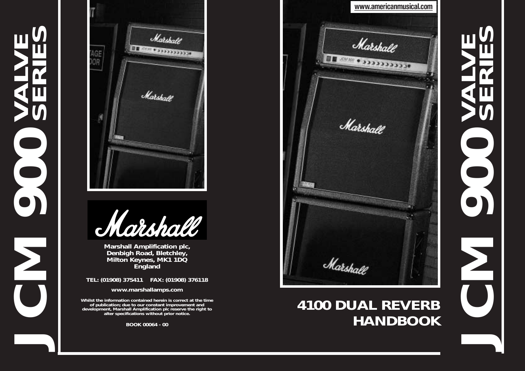

# *4100 DUAL REVERB HANDBOOK*

*JCM 900 VALVE SERIES*DO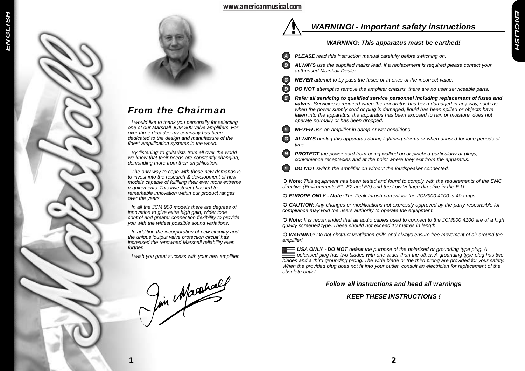

### www.americanmusical.com

*From the Chairman*

I would like to thank you personally for selecting one of our Marshall JCM 900 valve amplifiers. For over three decades my company has been dedicated to the design and manufacture of the finest amplification systems in the world.

By 'listening' to guitarists from all over the world we know that their needs are constantly changing, demanding more from their amplification.

The only way to cope with these new demands is to invest into the research & development of new models capable of fulfilling their ever more extreme

In all the JCM 900 models there are degrees of innovation to give extra high gain, wider tone control and greater connection flexibility to provide you with the widest possible sound variations. In addition the incorporation of new circuitry and the unique 'output valve protection circuit' has increased the renowned Marshall reliability even

I wish you great success with your new amplifier.

Juin Macahael

requirements. This investment has led to remarkable innovation within our product ranges

over the years.

further.

# *WARNING! - Important safety instructions*

### *WARNING: This apparatus must be earthed!*

- **PLEASE** read this instruction manual carefully before switching on.
- **B ALWAYS** use the supplied mains lead, if a replacement is required please contact your authorised Marshall Dealer.
- *C NEVER* attempt to by-pass the fuses or fit ones of the incorrect value.
- **D DO NOT** attempt to remove the amplifier chassis, there are no user serviceable parts.
- *E Refer all servicing to qualified service personnel including replacement of fuses and valves.* Servicing is required when the apparatus has been damaged in any way, such as when the power supply cord or plug is damaged, liquid has been spilled or objects have fallen into the apparatus, the apparatus has been exposed to rain or moisture, does not operate normally or has been dropped.
- *F NEVER* use an amplifier in damp or wet conditions.
- *G ALWAYS* unplug this apparatus during lightning storms or when unused for long periods of time.
	- **PROTECT** the power cord from being walked on or pinched particularly at plugs, convenience receptacles and at the point where they exit from the apparatus.
- 

**!**

*DO NOT switch the amplifier on without the loudspeaker connected.* 

➲ *Note:* This equipment has been tested and found to comply with the requirements of the EMC directive (Environments E1, E2 and E3) and the Low Voltage directive in the E.U.

➲ *EUROPE ONLY - Note:* The Peak Inrush current for the JCM900 4100 is 40 amps.

**C CAUTION:** Any changes or modifications not expressly approved by the party responsible for compliance may void the users authority to operate the equipment.

➲ *Note:* It is recomended that all audio cables used to connect to the JCM900 4100 are of a high quality screened type. These should not exceed 10 metres in length.

➲ *WARNING:* Do not obstruct ventilation grille and always ensure free movement of air around the amplifier!

**USA** ONLY - DO NOT defeat the purpose of the polarised or grounding type plug. A polarised plug has two blades with one wider than the other. A grounding type plug. A<br>polarised plug has two blades with one wider than the other. A grounding type plug has two blades and a third grounding prong. The wide blade or the third prong are provided for your safety. When the provided plug does not fit into your outlet, consult an electrician for replacement of the obsolete outlet.

### *Follow all instructions and heed all warnings*

### *KEEP THESE INSTRUCTIONS !*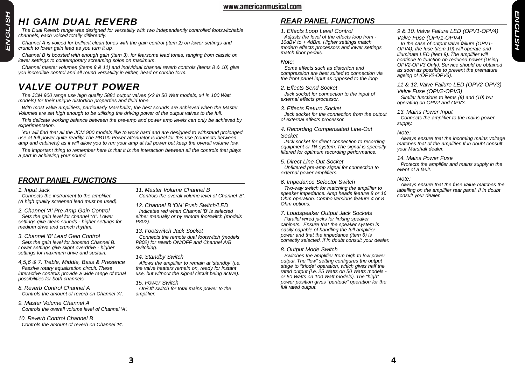# *HI GAIN DUAL REVERB*

The Dual Reverb range was designed for versatility with two independently controlled footswitchable channels, each voiced totally differently.

Channel A is voiced for brilliant clean tones with the gain control (item 2) on lower settings and crunch to lower gain lead as you turn it up.

Channel B is boosted with enough gain (item 3), for fearsome lead tones, ranging from classic on lower settings to contemporary screaming solos on maximum.

Channel master volumes (items 9 & 11) and individual channel reverb controls (items 8 & 10) give you incredible control and all round versatility in either, head or combo form.

# *VA LVE OUTPUT POWER*

The JCM 900 range use high quality 5881 output valves (x2 in 50 Watt models, x4 in 100 Watt models) for their unique distortion properties and fluid tone.

With most valve amplifiers, particularly Marshalls', the best sounds are achieved when the Master Volumes are set high enough to be utilising the driving power of the output valves to the full.

This delicate working balance between the pre-amp and power amp levels can only be achieved by experimentation.

You will find that all the JCM 900 models like to work hard and are designed to withstand prolonged use at full power quite readily. The PB100 Power attenuator is ideal for this use (connects between amp and cabinets) as it will allow you to run your amp at full power but keep the overall volume low.

The important thing to remember here is that it is the interaction between all the controls that plays a part in achieving your sound.

### **FRONT PANEL FUNCTIONS**

#### 1. Input Jack

Connects the instrument to the amplifier. (A high quality screened lead must be used).

2. Channel 'A' Pre-Amp Gain Control Sets the gain level for channel "A". Lower settings give clean sounds - higher settings for medium drive and crunch rhythm.

3. Channel 'B' Lead Gain Control Sets the gain level for boosted Channel B. Lower settings give slight overdrive - higher settings for maximum drive and sustain.

4,5,6 & 7. Treble, Middle, Bass & Presence Passive rotary equalisation circuit. These interactive controls provide a wide range of tonal possibilities for both channels.

8. Reverb Control Channel A Controls the amount of reverb on Channel 'A'.

9. Master Volume Channel A Controls the overall volume level of Channel 'A'.

10. Reverb Control Channel B Controls the amount of reverb on Channel 'B'. 11. Master Volume Channel B Controls the overall volume level of Channel 'B'.

12. Channel B 'ON' Push Switch/LED Indicates red when Channel 'B' is selected either manually or by remote footswitch (models P802).

13. Footswitch Jack Socket Connects the remote dual footswitch (models P802) for reverb ON/OFF and Channel A/B switching.

14. Standby Switch Allows the amplifier to remain at 'standby' (i.e. the valve heaters remain on, ready for instant use, but without the signal circuit being active).

15. Power Switch On/Off switch for total mains power to the amplifier.

### **REAR PANEL FUNCTIONS**

### 1. Effects Loop Level Control

Adjusts the level of the effects loop from - 10dBV to + 4dBm. Higher settings match modern effects processors and lower settings match floor pedals.

### Note:

Some effects such as distortion and compression are best suited to connection via the front panel input as opposed to the loop.

2. Effects Send Socket

Jack socket for connection to the input of external effects processor.

3. Effects Return Socket

Jack socket for the connection from the output of external effects processor.

4. Recording Compensated Line-Out **Socket** 

Jack socket for direct connection to recording equipment or PA system. The signal is specially filtered for optimum recording performance.

5. Direct Line-Out Socket Unfiltered pre-amp signal for connection to external power amplifiers.

6. Impedance Selector Switch

Two-way switch for matching the amplifier to speaker impedance. Amp heads feature 8 or 16 Ohm operation. Combo versions feature 4 or 8 Ohm options.

7. Loudspeaker Output Jack Sockets Parallel wired jacks for linking speaker cabinets. Ensure that the speaker system is easily capable of handling the full amplifier power and that the impedance (item 6) is correctly selected. If in doubt consult your dealer.

### 8. Output Mode Switch

Switches the amplifier from high to low power output. The "low" setting configures the output stage to "triode" operation, which gives half the rated output (i.e. 25 Watts on 50 Watts models or 50 Watts on 100 Watt models). The "high" power position gives "pentode" operation for the full rated output.

### 9 & 10. Valve Failure LED (OPV1-OPV4) Valve Fuse (OPV1-OPV4)

In the case of output valve failure (OPV1- OPV4), the fuse (item 10) will operate and illuminate LED (item 9). The amplifier will continue to function on reduced power (Using OPV2-OPV3 Only). Service should be obtained as soon as possible to prevent the premature ageing of (OPV2-OPV3).

11 & 12. Valve Failure LED (OPV2-OPV3) Valve Fuse (OPV2-OPV3) Similar functions to items (9) and (10) but operating on OPV2 and OPV3.

13. Mains Power Input Connects the amplifier to the mains power supply.

#### Note:

Always ensure that the incoming mains voltage matches that of the amplifier. If in doubt consult your Marshall dealer.

14. Mains Power Fuse

Protects the amplifier and mains supply in the event of a fault.

#### Note:

Always ensure that the fuse value matches the labelling on the amplifier rear panel. If in doubt consult your dealer.